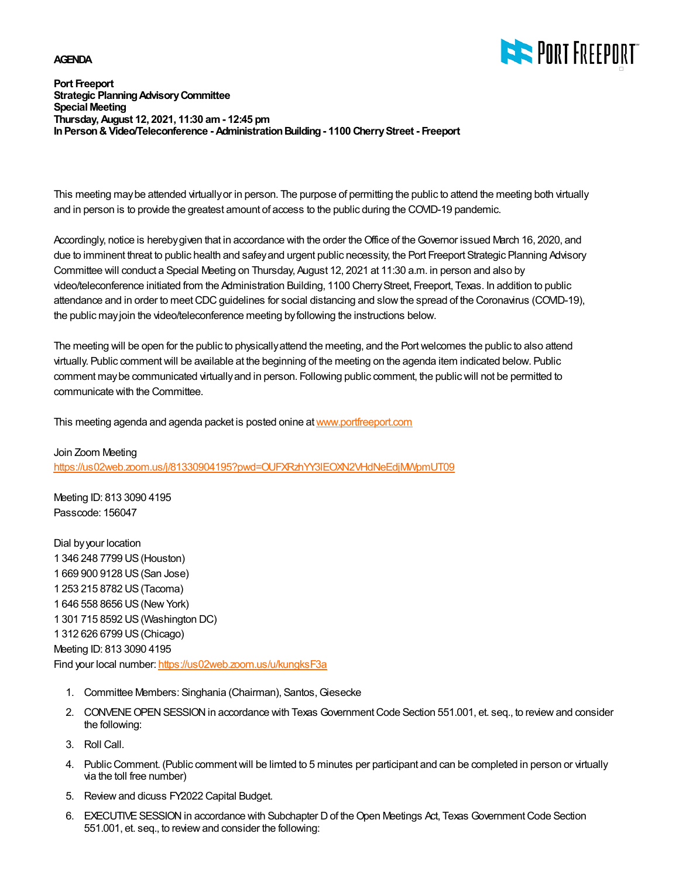## **AGENDA**



## **Port Freeport Strategic Planning Advisory Committee Special Meeting Thursday, August 12, 2021, 11:30 am - 12:45 pm In Person & Video/Teleconference - Administration Building - 1100 Cherry Street - Freeport**

This meeting may be attended virtually or in person. The purpose of permitting the public to attend the meeting both virtually and in person is to provide the greatest amount of access to the public during the COVID-19 pandemic.

Accordingly, notice is hereby given that in accordance with the order the Office of the Governor issued March 16, 2020, and due to imminent threat to public health and safey and urgent public necessity, the Port Freeport Strategic Planning Advisory Committee will conduct a Special Meeting on Thursday, August 12, 2021 at 11:30 a.m. in person and also by video/teleconference initiated from the Administration Building, 1100 Cherry Street, Freeport, Texas. In addition to public attendance and in order to meet CDC guidelines for social distancing and slow the spread of the Coronavirus (COVID-19), the public may join the video/teleconference meeting by following the instructions below.

The meeting will be open for the public to physically attend the meeting, and the Port welcomes the public to also attend virtually. Public comment will be available at the beginning of the meeting on the agenda item indicated below. Public comment may be communicated virtually and in person. Following public comment, the public will not be permitted to communicate with the Committee.

This meeting agenda and agenda packet is posted onine at [www.portfreeport.com](http://www.portfreeport.com)

Join Zoom Meeting <https://us02web.zoom.us/j/81330904195?pwd=OUFXRzhYY3lEOXN2VHdNeEdjMWpmUT09>

Meeting ID: 813 3090 4195 Passcode: 156047

Dial by your location 1 346 248 7799 US (Houston) 1 669 900 9128 US (San Jose) 1 253 215 8782 US (Tacoma) 1 646 558 8656 US (New York) 1 301 715 8592 US (Washington DC) 1 312 626 6799 US (Chicago) Meeting ID: 813 3090 4195 Find your local number:<https://us02web.zoom.us/u/kungksF3a>

- 1. Committee Members: Singhania (Chairman), Santos, Giesecke
- 2. CONVENE OPEN SESSION in accordance with Texas Government Code Section 551.001, et. seq., to review and consider the following:
- 3. Roll Call.
- 4. Public Comment. (Public comment will be limted to 5 minutes per participant and can be completed in person or virtually via the toll free number)
- 5. Review and dicuss FY2022 Capital Budget.
- EXECUTIVE SESSION in accordance with Subchapter D of the Open Meetings Act, Texas Government Code Section 6.551.001, et. seq., to review and consider the following: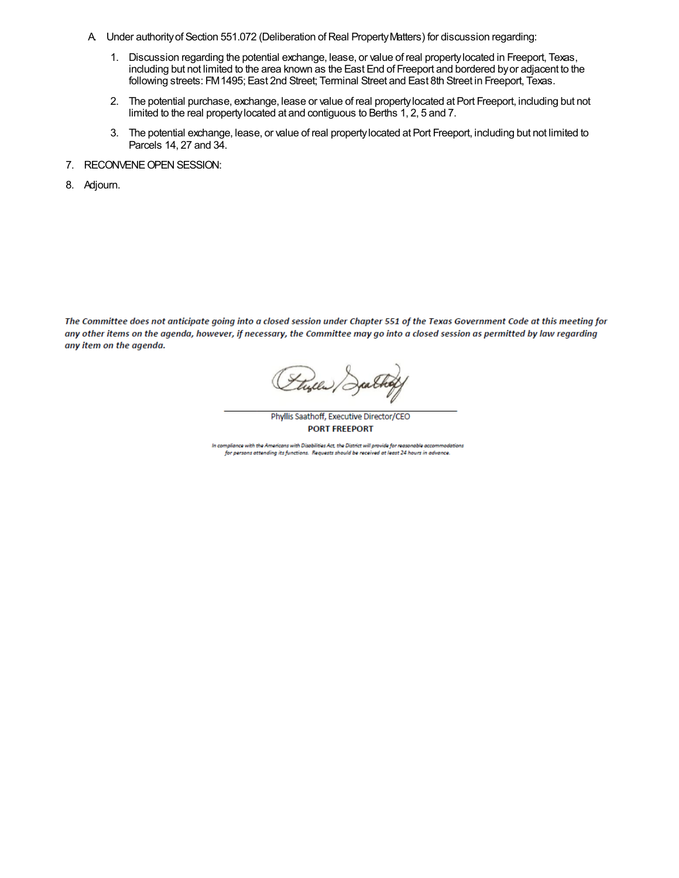- A. Under authority of Section 551.072 (Deliberation of Real Property Matters) for discussion regarding:
	- 1. Discussion regarding the potential exchange, lease, or value of real property located in Freeport, Texas, including but not limited to the area known as the East End of Freeport and bordered by or adjacent to the following streets: FM 1495; East 2nd Street; Terminal Street and East 8th Street in Freeport, Texas.
	- The potential purchase, exchange, lease or value of real property located at Port Freeport, including but not 2. limited to the real property located at and contiguous to Berths 1, 2, 5 and 7.
	- The potential exchange, lease, or value of real property located at Port Freeport, including but not limited to 3. Parcels 14, 27 and 34.
- 7. RECONVENE OPEN SESSION:
- 8. Adjourn.

The Committee does not anticipate going into a closed session under Chapter 551 of the Texas Government Code at this meeting for any other items on the agenda, however, if necessary, the Committee may go into a closed session as permitted by law regarding any item on the agenda.

tyles,

Phyllis Saathoff, Executive Director/CEO **PORT FREEPORT** 

In compliance with the Americans with Disabilities Act, the District will provide for reasonable accommodations for persons attending its functions. Requests should be received at least 24 hours in advance.